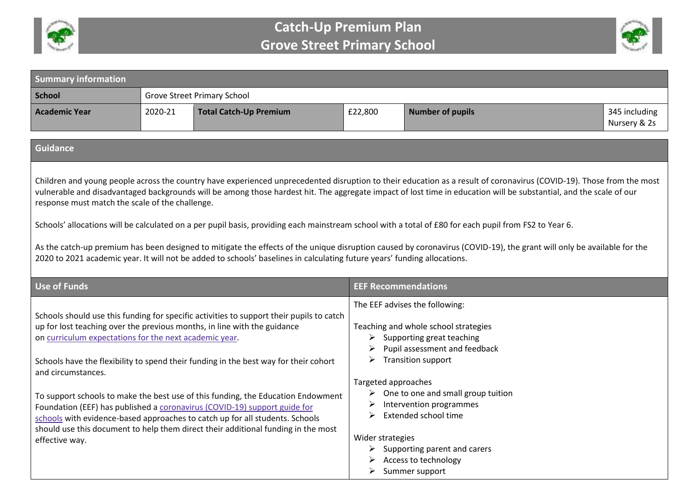



| <b>Summary information</b>                                                                                                                                                                                                                                                                                                                                                                                                                                                                                                                                                                                                                                                                                                                                                                                                                                  |         |                                                                                                                                                                                                                                                                                                                                                                                                                                                                                                                                                                                                    |                                                   |                                                                                                                                                                                                                                                                                                                                                                        |                               |
|-------------------------------------------------------------------------------------------------------------------------------------------------------------------------------------------------------------------------------------------------------------------------------------------------------------------------------------------------------------------------------------------------------------------------------------------------------------------------------------------------------------------------------------------------------------------------------------------------------------------------------------------------------------------------------------------------------------------------------------------------------------------------------------------------------------------------------------------------------------|---------|----------------------------------------------------------------------------------------------------------------------------------------------------------------------------------------------------------------------------------------------------------------------------------------------------------------------------------------------------------------------------------------------------------------------------------------------------------------------------------------------------------------------------------------------------------------------------------------------------|---------------------------------------------------|------------------------------------------------------------------------------------------------------------------------------------------------------------------------------------------------------------------------------------------------------------------------------------------------------------------------------------------------------------------------|-------------------------------|
| <b>School</b>                                                                                                                                                                                                                                                                                                                                                                                                                                                                                                                                                                                                                                                                                                                                                                                                                                               |         | <b>Grove Street Primary School</b>                                                                                                                                                                                                                                                                                                                                                                                                                                                                                                                                                                 |                                                   |                                                                                                                                                                                                                                                                                                                                                                        |                               |
| <b>Academic Year</b>                                                                                                                                                                                                                                                                                                                                                                                                                                                                                                                                                                                                                                                                                                                                                                                                                                        | 2020-21 | <b>Total Catch-Up Premium</b>                                                                                                                                                                                                                                                                                                                                                                                                                                                                                                                                                                      | £22,800                                           | <b>Number of pupils</b>                                                                                                                                                                                                                                                                                                                                                | 345 including<br>Nursery & 2s |
| <b>Guidance</b>                                                                                                                                                                                                                                                                                                                                                                                                                                                                                                                                                                                                                                                                                                                                                                                                                                             |         |                                                                                                                                                                                                                                                                                                                                                                                                                                                                                                                                                                                                    |                                                   |                                                                                                                                                                                                                                                                                                                                                                        |                               |
| Children and young people across the country have experienced unprecedented disruption to their education as a result of coronavirus (COVID-19). Those from the most<br>vulnerable and disadvantaged backgrounds will be among those hardest hit. The aggregate impact of lost time in education will be substantial, and the scale of our<br>response must match the scale of the challenge.<br>Schools' allocations will be calculated on a per pupil basis, providing each mainstream school with a total of £80 for each pupil from FS2 to Year 6.<br>As the catch-up premium has been designed to mitigate the effects of the unique disruption caused by coronavirus (COVID-19), the grant will only be available for the<br>2020 to 2021 academic year. It will not be added to schools' baselines in calculating future years' funding allocations. |         |                                                                                                                                                                                                                                                                                                                                                                                                                                                                                                                                                                                                    |                                                   |                                                                                                                                                                                                                                                                                                                                                                        |                               |
| <b>Use of Funds</b>                                                                                                                                                                                                                                                                                                                                                                                                                                                                                                                                                                                                                                                                                                                                                                                                                                         |         |                                                                                                                                                                                                                                                                                                                                                                                                                                                                                                                                                                                                    | <b>EEF Recommendations</b>                        |                                                                                                                                                                                                                                                                                                                                                                        |                               |
| on curriculum expectations for the next academic year.<br>and circumstances.<br>effective way.                                                                                                                                                                                                                                                                                                                                                                                                                                                                                                                                                                                                                                                                                                                                                              |         | Schools should use this funding for specific activities to support their pupils to catch<br>up for lost teaching over the previous months, in line with the guidance<br>Schools have the flexibility to spend their funding in the best way for their cohort<br>To support schools to make the best use of this funding, the Education Endowment<br>Foundation (EEF) has published a coronavirus (COVID-19) support guide for<br>schools with evidence-based approaches to catch up for all students. Schools<br>should use this document to help them direct their additional funding in the most | ➤<br>Targeted approaches<br>➤<br>Wider strategies | The EEF advises the following:<br>Teaching and whole school strategies<br>$\triangleright$ Supporting great teaching<br>Pupil assessment and feedback<br><b>Transition support</b><br>$\triangleright$ One to one and small group tuition<br>Intervention programmes<br>Extended school time<br>Supporting parent and carers<br>Access to technology<br>Summer support |                               |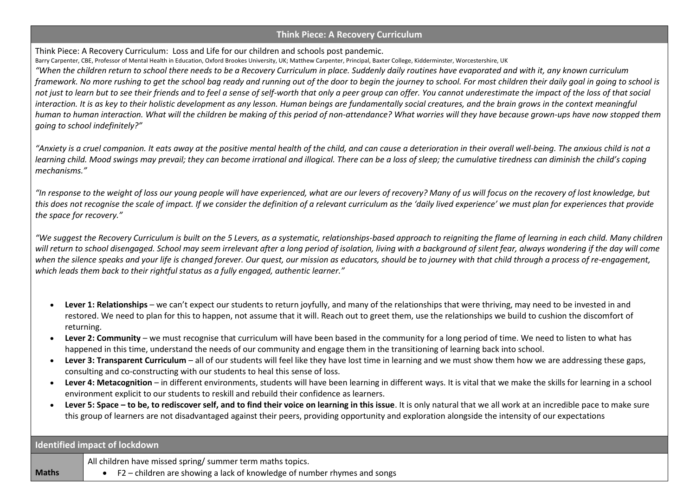## **Think Piece: A Recovery Curriculum**

Think Piece: A Recovery Curriculum: Loss and Life for our children and schools post pandemic.

Barry Carpenter, CBE, Professor of Mental Health in Education, Oxford Brookes University, UK; Matthew Carpenter, Principal, Baxter College, Kidderminster, Worcestershire, UK

*"When the children return to school there needs to be a Recovery Curriculum in place. Suddenly daily routines have evaporated and with it, any known curriculum framework. No more rushing to get the school bag ready and running out of the door to begin the journey to school. For most children their daily goal in going to school is not just to learn but to see their friends and to feel a sense of self-worth that only a peer group can offer. You cannot underestimate the impact of the loss of that social interaction. It is as key to their holistic development as any lesson. Human beings are fundamentally social creatures, and the brain grows in the context meaningful human to human interaction. What will the children be making of this period of non-attendance? What worries will they have because grown-ups have now stopped them going to school indefinitely?"*

*"Anxiety is a cruel companion. It eats away at the positive mental health of the child, and can cause a deterioration in their overall well-being. The anxious child is not a learning child. Mood swings may prevail; they can become irrational and illogical. There can be a loss of sleep; the cumulative tiredness can diminish the child's coping mechanisms."*

*"In response to the weight of loss our young people will have experienced, what are our levers of recovery? Many of us will focus on the recovery of lost knowledge, but*  this does not recognise the scale of impact. If we consider the definition of a relevant curriculum as the 'daily lived experience' we must plan for experiences that provide *the space for recovery."*

*"We suggest the Recovery Curriculum is built on the 5 Levers, as a systematic, relationships-based approach to reigniting the flame of learning in each child. Many children*  will return to school disengaged. School may seem irrelevant after a long period of isolation, living with a background of silent fear, always wondering if the day will come *when the silence speaks and your life is changed forever. Our quest, our mission as educators, should be to journey with that child through a process of re-engagement, which leads them back to their rightful status as a fully engaged, authentic learner."*

- **Lever 1: Relationships** we can't expect our students to return joyfully, and many of the relationships that were thriving, may need to be invested in and restored. We need to plan for this to happen, not assume that it will. Reach out to greet them, use the relationships we build to cushion the discomfort of returning.
- **Lever 2: Community** we must recognise that curriculum will have been based in the community for a long period of time. We need to listen to what has happened in this time, understand the needs of our community and engage them in the transitioning of learning back into school.
- **Lever 3: Transparent Curriculum** all of our students will feel like they have lost time in learning and we must show them how we are addressing these gaps, consulting and co-constructing with our students to heal this sense of loss.
- **Lever 4: Metacognition** in different environments, students will have been learning in different ways. It is vital that we make the skills for learning in a school environment explicit to our students to reskill and rebuild their confidence as learners.
- **Lever 5: Space – to be, to rediscover self, and to find their voice on learning in this issue**. It is only natural that we all work at an incredible pace to make sure this group of learners are not disadvantaged against their peers, providing opportunity and exploration alongside the intensity of our expectations

|              | Identified impact of lockdown                                            |
|--------------|--------------------------------------------------------------------------|
|              | All children have missed spring/ summer term maths topics.               |
| <b>Maths</b> | F2 – children are showing a lack of knowledge of number rhymes and songs |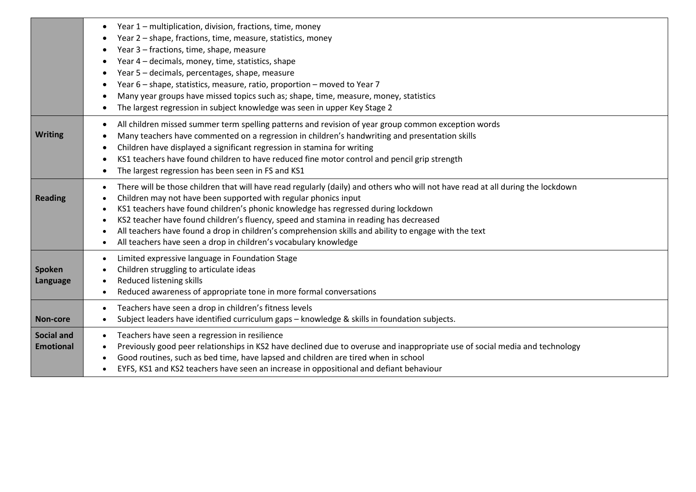|                                       | Year 1 - multiplication, division, fractions, time, money<br>$\bullet$<br>Year 2 - shape, fractions, time, measure, statistics, money<br>Year 3 - fractions, time, shape, measure<br>Year 4 - decimals, money, time, statistics, shape<br>Year 5 - decimals, percentages, shape, measure<br>Year 6 - shape, statistics, measure, ratio, proportion - moved to Year 7<br>Many year groups have missed topics such as; shape, time, measure, money, statistics<br>The largest regression in subject knowledge was seen in upper Key Stage 2                     |
|---------------------------------------|---------------------------------------------------------------------------------------------------------------------------------------------------------------------------------------------------------------------------------------------------------------------------------------------------------------------------------------------------------------------------------------------------------------------------------------------------------------------------------------------------------------------------------------------------------------|
| <b>Writing</b>                        | All children missed summer term spelling patterns and revision of year group common exception words<br>Many teachers have commented on a regression in children's handwriting and presentation skills<br>Children have displayed a significant regression in stamina for writing<br>KS1 teachers have found children to have reduced fine motor control and pencil grip strength<br>The largest regression has been seen in FS and KS1                                                                                                                        |
| <b>Reading</b>                        | There will be those children that will have read regularly (daily) and others who will not have read at all during the lockdown<br>Children may not have been supported with regular phonics input<br>KS1 teachers have found children's phonic knowledge has regressed during lockdown<br>KS2 teacher have found children's fluency, speed and stamina in reading has decreased<br>All teachers have found a drop in children's comprehension skills and ability to engage with the text<br>All teachers have seen a drop in children's vocabulary knowledge |
| <b>Spoken</b><br>Language             | Limited expressive language in Foundation Stage<br>Children struggling to articulate ideas<br>Reduced listening skills<br>Reduced awareness of appropriate tone in more formal conversations                                                                                                                                                                                                                                                                                                                                                                  |
| Non-core                              | Teachers have seen a drop in children's fitness levels<br>$\bullet$<br>Subject leaders have identified curriculum gaps - knowledge & skills in foundation subjects.                                                                                                                                                                                                                                                                                                                                                                                           |
| <b>Social and</b><br><b>Emotional</b> | Teachers have seen a regression in resilience<br>Previously good peer relationships in KS2 have declined due to overuse and inappropriate use of social media and technology<br>Good routines, such as bed time, have lapsed and children are tired when in school<br>EYFS, KS1 and KS2 teachers have seen an increase in oppositional and defiant behaviour                                                                                                                                                                                                  |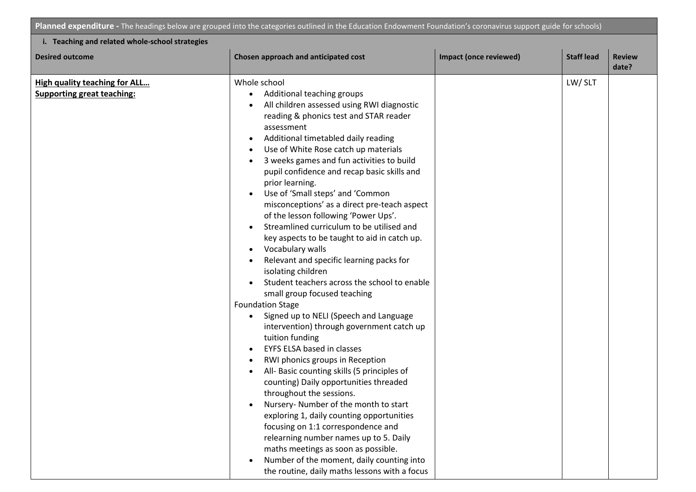**Planned expenditure -** The headings below are grouped into the categories outlined in the Education Endowment Foundation's coronavirus support guide for schools)

| <b>Desired outcome</b>                                                    | Chosen approach and anticipated cost                                                                                                                                                                                                                                                                                                                                                                                                                                                                                                                                                                                                                                                                                                                                                                                                                                                                                                                                                                                                                                                                                                                                                                                                                                                                                                                                                                                                                                                                                              | Impact (once reviewed) | <b>Staff lead</b> | <b>Review</b><br>date? |
|---------------------------------------------------------------------------|-----------------------------------------------------------------------------------------------------------------------------------------------------------------------------------------------------------------------------------------------------------------------------------------------------------------------------------------------------------------------------------------------------------------------------------------------------------------------------------------------------------------------------------------------------------------------------------------------------------------------------------------------------------------------------------------------------------------------------------------------------------------------------------------------------------------------------------------------------------------------------------------------------------------------------------------------------------------------------------------------------------------------------------------------------------------------------------------------------------------------------------------------------------------------------------------------------------------------------------------------------------------------------------------------------------------------------------------------------------------------------------------------------------------------------------------------------------------------------------------------------------------------------------|------------------------|-------------------|------------------------|
| <b>High quality teaching for ALL</b><br><b>Supporting great teaching:</b> | Whole school<br>Additional teaching groups<br>All children assessed using RWI diagnostic<br>reading & phonics test and STAR reader<br>assessment<br>Additional timetabled daily reading<br>$\bullet$<br>Use of White Rose catch up materials<br>$\bullet$<br>3 weeks games and fun activities to build<br>$\bullet$<br>pupil confidence and recap basic skills and<br>prior learning.<br>Use of 'Small steps' and 'Common<br>$\bullet$<br>misconceptions' as a direct pre-teach aspect<br>of the lesson following 'Power Ups'.<br>Streamlined curriculum to be utilised and<br>key aspects to be taught to aid in catch up.<br>Vocabulary walls<br>$\bullet$<br>Relevant and specific learning packs for<br>$\bullet$<br>isolating children<br>Student teachers across the school to enable<br>$\bullet$<br>small group focused teaching<br><b>Foundation Stage</b><br>Signed up to NELI (Speech and Language<br>intervention) through government catch up<br>tuition funding<br>EYFS ELSA based in classes<br>$\bullet$<br>RWI phonics groups in Reception<br>$\bullet$<br>All- Basic counting skills (5 principles of<br>$\bullet$<br>counting) Daily opportunities threaded<br>throughout the sessions.<br>Nursery-Number of the month to start<br>exploring 1, daily counting opportunities<br>focusing on 1:1 correspondence and<br>relearning number names up to 5. Daily<br>maths meetings as soon as possible.<br>Number of the moment, daily counting into<br>$\bullet$<br>the routine, daily maths lessons with a focus |                        | LW/SLT            |                        |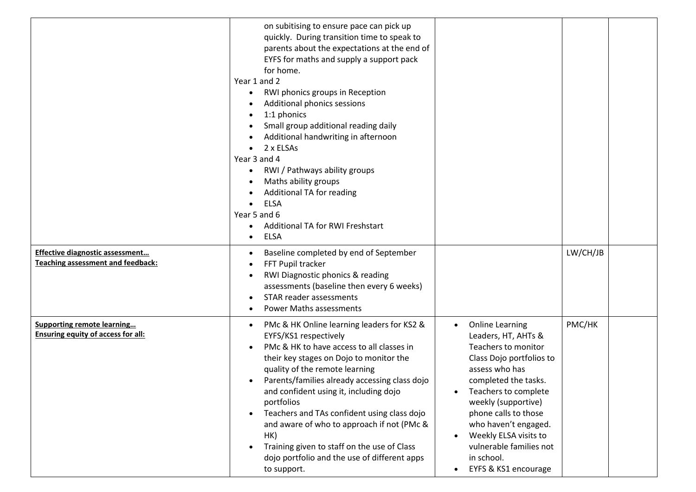|                                                                                    | on subitising to ensure pace can pick up<br>quickly. During transition time to speak to<br>parents about the expectations at the end of<br>EYFS for maths and supply a support pack<br>for home.<br>Year 1 and 2<br>RWI phonics groups in Reception<br>$\bullet$<br>Additional phonics sessions<br>1:1 phonics<br>Small group additional reading daily<br>Additional handwriting in afternoon<br>2 x ELSAs<br>Year 3 and 4<br>RWI / Pathways ability groups<br>Maths ability groups<br>Additional TA for reading<br><b>ELSA</b><br>Year 5 and 6<br><b>Additional TA for RWI Freshstart</b><br><b>ELSA</b><br>$\bullet$ |                                                                                                                                                                                                                                                                                                                                                               |          |
|------------------------------------------------------------------------------------|------------------------------------------------------------------------------------------------------------------------------------------------------------------------------------------------------------------------------------------------------------------------------------------------------------------------------------------------------------------------------------------------------------------------------------------------------------------------------------------------------------------------------------------------------------------------------------------------------------------------|---------------------------------------------------------------------------------------------------------------------------------------------------------------------------------------------------------------------------------------------------------------------------------------------------------------------------------------------------------------|----------|
| <b>Effective diagnostic assessment</b><br><b>Teaching assessment and feedback:</b> | Baseline completed by end of September<br>$\bullet$<br>FFT Pupil tracker<br>RWI Diagnostic phonics & reading<br>assessments (baseline then every 6 weeks)<br>STAR reader assessments<br><b>Power Maths assessments</b>                                                                                                                                                                                                                                                                                                                                                                                                 |                                                                                                                                                                                                                                                                                                                                                               | LW/CH/JB |
| <b>Supporting remote learning</b><br><b>Ensuring equity of access for all:</b>     | PMc & HK Online learning leaders for KS2 &<br>$\bullet$<br>EYFS/KS1 respectively<br>PMc & HK to have access to all classes in<br>their key stages on Dojo to monitor the<br>quality of the remote learning<br>Parents/families already accessing class dojo<br>$\bullet$<br>and confident using it, including dojo<br>portfolios<br>Teachers and TAs confident using class dojo<br>and aware of who to approach if not (PMc &<br>HK)<br>Training given to staff on the use of Class<br>$\bullet$<br>dojo portfolio and the use of different apps<br>to support.                                                        | <b>Online Learning</b><br>Leaders, HT, AHTs &<br>Teachers to monitor<br>Class Dojo portfolios to<br>assess who has<br>completed the tasks.<br>Teachers to complete<br>weekly (supportive)<br>phone calls to those<br>who haven't engaged.<br>Weekly ELSA visits to<br>$\bullet$<br>vulnerable families not<br>in school.<br>EYFS & KS1 encourage<br>$\bullet$ | PMC/HK   |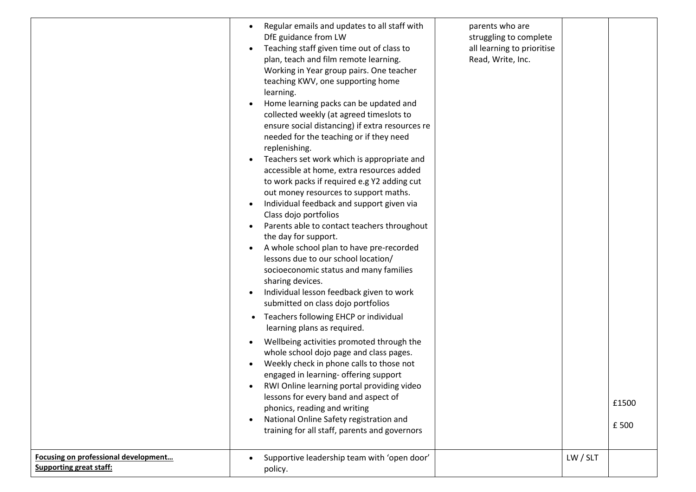|                                                                        | Regular emails and updates to all staff with<br>DfE guidance from LW<br>Teaching staff given time out of class to<br>plan, teach and film remote learning.<br>Working in Year group pairs. One teacher<br>teaching KWV, one supporting home<br>learning.<br>Home learning packs can be updated and<br>collected weekly (at agreed timeslots to<br>ensure social distancing) if extra resources re<br>needed for the teaching or if they need<br>replenishing.<br>Teachers set work which is appropriate and<br>accessible at home, extra resources added<br>to work packs if required e.g Y2 adding cut<br>out money resources to support maths.<br>Individual feedback and support given via<br>Class dojo portfolios<br>Parents able to contact teachers throughout<br>the day for support.<br>A whole school plan to have pre-recorded<br>lessons due to our school location/<br>socioeconomic status and many families<br>sharing devices.<br>Individual lesson feedback given to work<br>submitted on class dojo portfolios<br>Teachers following EHCP or individual<br>learning plans as required.<br>Wellbeing activities promoted through the<br>whole school dojo page and class pages.<br>Weekly check in phone calls to those not<br>engaged in learning- offering support<br>RWI Online learning portal providing video<br>lessons for every band and aspect of<br>phonics, reading and writing<br>National Online Safety registration and<br>training for all staff, parents and governors | parents who are<br>struggling to complete<br>all learning to prioritise<br>Read, Write, Inc. |          | £1500<br>£500 |
|------------------------------------------------------------------------|---------------------------------------------------------------------------------------------------------------------------------------------------------------------------------------------------------------------------------------------------------------------------------------------------------------------------------------------------------------------------------------------------------------------------------------------------------------------------------------------------------------------------------------------------------------------------------------------------------------------------------------------------------------------------------------------------------------------------------------------------------------------------------------------------------------------------------------------------------------------------------------------------------------------------------------------------------------------------------------------------------------------------------------------------------------------------------------------------------------------------------------------------------------------------------------------------------------------------------------------------------------------------------------------------------------------------------------------------------------------------------------------------------------------------------------------------------------------------------------------------------|----------------------------------------------------------------------------------------------|----------|---------------|
| Focusing on professional development<br><b>Supporting great staff:</b> | Supportive leadership team with 'open door'<br>policy.                                                                                                                                                                                                                                                                                                                                                                                                                                                                                                                                                                                                                                                                                                                                                                                                                                                                                                                                                                                                                                                                                                                                                                                                                                                                                                                                                                                                                                                  |                                                                                              | LW / SLT |               |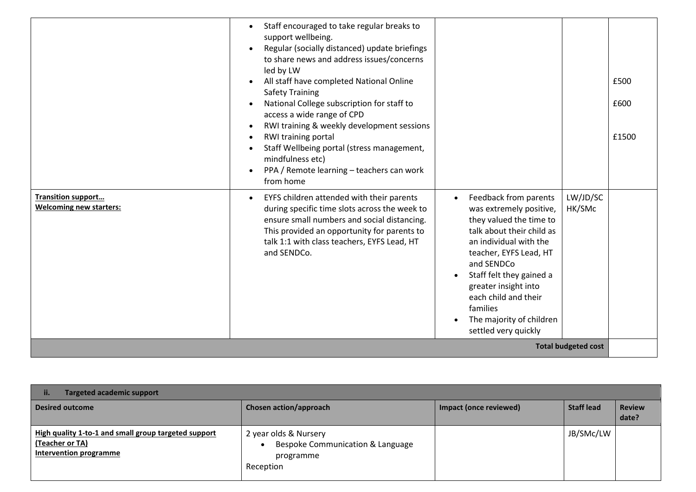|                                                             | Staff encouraged to take regular breaks to<br>support wellbeing.<br>Regular (socially distanced) update briefings<br>$\bullet$<br>to share news and address issues/concerns<br>led by LW<br>All staff have completed National Online<br><b>Safety Training</b><br>National College subscription for staff to<br>access a wide range of CPD<br>RWI training & weekly development sessions<br>RWI training portal<br>Staff Wellbeing portal (stress management,<br>mindfulness etc)<br>PPA / Remote learning - teachers can work<br>$\bullet$<br>from home |                                                                                                                                                                                                                                                                                                                                     |                                                  | £500<br>£600<br>£1500 |
|-------------------------------------------------------------|----------------------------------------------------------------------------------------------------------------------------------------------------------------------------------------------------------------------------------------------------------------------------------------------------------------------------------------------------------------------------------------------------------------------------------------------------------------------------------------------------------------------------------------------------------|-------------------------------------------------------------------------------------------------------------------------------------------------------------------------------------------------------------------------------------------------------------------------------------------------------------------------------------|--------------------------------------------------|-----------------------|
| <b>Transition support</b><br><b>Welcoming new starters:</b> | EYFS children attended with their parents<br>$\bullet$<br>during specific time slots across the week to<br>ensure small numbers and social distancing.<br>This provided an opportunity for parents to<br>talk 1:1 with class teachers, EYFS Lead, HT<br>and SENDCo.                                                                                                                                                                                                                                                                                      | Feedback from parents<br>$\bullet$<br>was extremely positive,<br>they valued the time to<br>talk about their child as<br>an individual with the<br>teacher, EYFS Lead, HT<br>and SENDCo<br>Staff felt they gained a<br>greater insight into<br>each child and their<br>families<br>The majority of children<br>settled very quickly | LW/JD/SC<br>HK/SMc<br><b>Total budgeted cost</b> |                       |

| <b>Targeted academic support</b><br>ii.                                                                  |                                                                                                  |                        |                   |                        |  |
|----------------------------------------------------------------------------------------------------------|--------------------------------------------------------------------------------------------------|------------------------|-------------------|------------------------|--|
| <b>Desired outcome</b>                                                                                   | Chosen action/approach                                                                           | Impact (once reviewed) | <b>Staff lead</b> | <b>Review</b><br>date? |  |
| High quality 1-to-1 and small group targeted support<br>(Teacher or TA)<br><b>Intervention programme</b> | 2 year olds & Nursery<br>Bespoke Communication & Language<br>$\bullet$<br>programme<br>Reception |                        | JB/SMc/LW         |                        |  |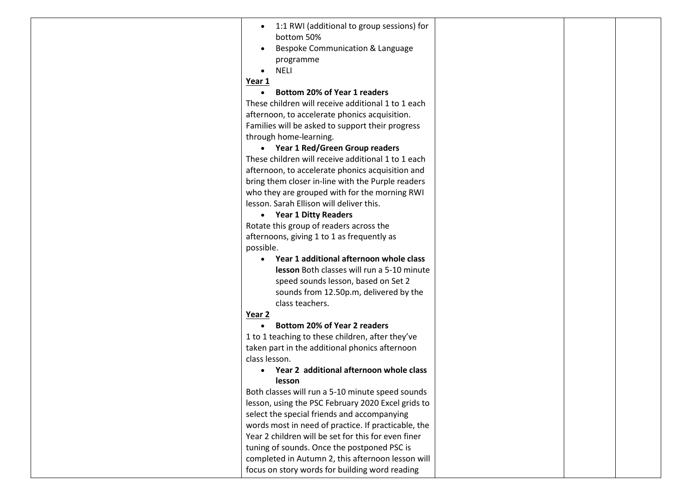| 1:1 RWI (additional to group sessions) for          |  |
|-----------------------------------------------------|--|
| bottom 50%                                          |  |
| Bespoke Communication & Language                    |  |
| programme                                           |  |
| <b>NELI</b>                                         |  |
| Year 1                                              |  |
| <b>Bottom 20% of Year 1 readers</b>                 |  |
| These children will receive additional 1 to 1 each  |  |
| afternoon, to accelerate phonics acquisition.       |  |
| Families will be asked to support their progress    |  |
| through home-learning.                              |  |
| Year 1 Red/Green Group readers                      |  |
| These children will receive additional 1 to 1 each  |  |
| afternoon, to accelerate phonics acquisition and    |  |
| bring them closer in-line with the Purple readers   |  |
| who they are grouped with for the morning RWI       |  |
| lesson. Sarah Ellison will deliver this.            |  |
| <b>Year 1 Ditty Readers</b><br>$\bullet$            |  |
| Rotate this group of readers across the             |  |
| afternoons, giving 1 to 1 as frequently as          |  |
| possible.                                           |  |
| Year 1 additional afternoon whole class             |  |
| lesson Both classes will run a 5-10 minute          |  |
| speed sounds lesson, based on Set 2                 |  |
| sounds from 12.50p.m, delivered by the              |  |
| class teachers.                                     |  |
| Year 2                                              |  |
| <b>Bottom 20% of Year 2 readers</b><br>$\bullet$    |  |
| 1 to 1 teaching to these children, after they've    |  |
| taken part in the additional phonics afternoon      |  |
| class lesson.                                       |  |
| Year 2 additional afternoon whole class             |  |
| lesson                                              |  |
| Both classes will run a 5-10 minute speed sounds    |  |
| lesson, using the PSC February 2020 Excel grids to  |  |
| select the special friends and accompanying         |  |
| words most in need of practice. If practicable, the |  |
| Year 2 children will be set for this for even finer |  |
| tuning of sounds. Once the postponed PSC is         |  |
| completed in Autumn 2, this afternoon lesson will   |  |
| focus on story words for building word reading      |  |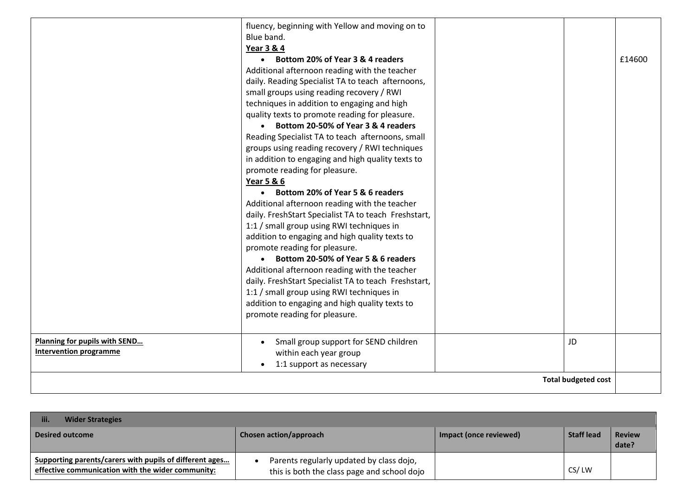|                                                                | fluency, beginning with Yellow and moving on to<br>Blue band.<br><b>Year 3 &amp; 4</b><br>• Bottom 20% of Year 3 & 4 readers<br>Additional afternoon reading with the teacher<br>daily. Reading Specialist TA to teach afternoons,<br>small groups using reading recovery / RWI<br>techniques in addition to engaging and high<br>quality texts to promote reading for pleasure.<br>• Bottom 20-50% of Year 3 & 4 readers<br>Reading Specialist TA to teach afternoons, small<br>groups using reading recovery / RWI techniques<br>in addition to engaging and high quality texts to<br>promote reading for pleasure.<br><b>Year 5 &amp; 6</b><br>Bottom 20% of Year 5 & 6 readers<br>$\bullet$<br>Additional afternoon reading with the teacher<br>daily. FreshStart Specialist TA to teach Freshstart,<br>1:1 / small group using RWI techniques in<br>addition to engaging and high quality texts to<br>promote reading for pleasure.<br>• Bottom 20-50% of Year 5 & 6 readers<br>Additional afternoon reading with the teacher<br>daily. FreshStart Specialist TA to teach Freshstart,<br>1:1 / small group using RWI techniques in<br>addition to engaging and high quality texts to |  |    | £14600 |
|----------------------------------------------------------------|-------------------------------------------------------------------------------------------------------------------------------------------------------------------------------------------------------------------------------------------------------------------------------------------------------------------------------------------------------------------------------------------------------------------------------------------------------------------------------------------------------------------------------------------------------------------------------------------------------------------------------------------------------------------------------------------------------------------------------------------------------------------------------------------------------------------------------------------------------------------------------------------------------------------------------------------------------------------------------------------------------------------------------------------------------------------------------------------------------------------------------------------------------------------------------------------|--|----|--------|
|                                                                | promote reading for pleasure.                                                                                                                                                                                                                                                                                                                                                                                                                                                                                                                                                                                                                                                                                                                                                                                                                                                                                                                                                                                                                                                                                                                                                             |  |    |        |
| Planning for pupils with SEND<br><b>Intervention programme</b> | Small group support for SEND children<br>$\bullet$<br>within each year group<br>1:1 support as necessary<br>$\bullet$                                                                                                                                                                                                                                                                                                                                                                                                                                                                                                                                                                                                                                                                                                                                                                                                                                                                                                                                                                                                                                                                     |  | JD |        |
| <b>Total budgeted cost</b>                                     |                                                                                                                                                                                                                                                                                                                                                                                                                                                                                                                                                                                                                                                                                                                                                                                                                                                                                                                                                                                                                                                                                                                                                                                           |  |    |        |

| iii.<br><b>Wider Strategies</b>                                                                              |                                                                                         |                        |                   |                        |
|--------------------------------------------------------------------------------------------------------------|-----------------------------------------------------------------------------------------|------------------------|-------------------|------------------------|
| <b>Desired outcome</b>                                                                                       | Chosen action/approach                                                                  | Impact (once reviewed) | <b>Staff lead</b> | <b>Review</b><br>date? |
| Supporting parents/carers with pupils of different ages<br>effective communication with the wider community: | Parents regularly updated by class dojo,<br>this is both the class page and school dojo |                        | CS/LW             |                        |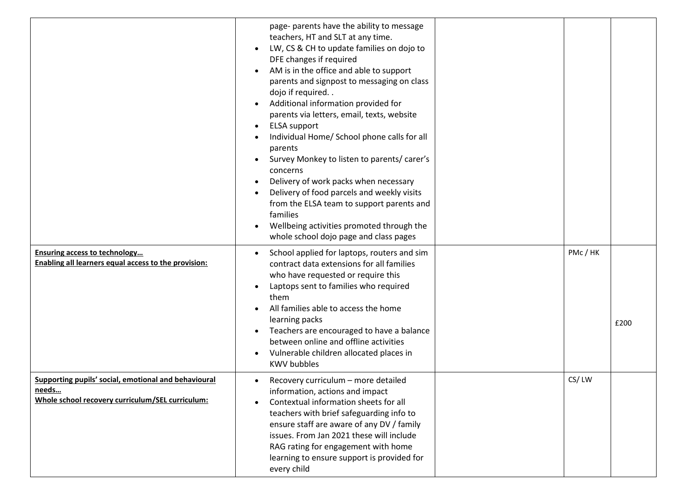|                                                                                                                          | page- parents have the ability to message<br>teachers, HT and SLT at any time.<br>LW, CS & CH to update families on dojo to<br>DFE changes if required<br>AM is in the office and able to support<br>parents and signpost to messaging on class<br>dojo if required<br>Additional information provided for<br>parents via letters, email, texts, website<br><b>ELSA</b> support<br>$\bullet$<br>Individual Home/ School phone calls for all<br>parents<br>Survey Monkey to listen to parents/ carer's<br>concerns<br>Delivery of work packs when necessary<br>$\bullet$<br>Delivery of food parcels and weekly visits<br>from the ELSA team to support parents and<br>families<br>Wellbeing activities promoted through the<br>whole school dojo page and class pages |        |      |
|--------------------------------------------------------------------------------------------------------------------------|-----------------------------------------------------------------------------------------------------------------------------------------------------------------------------------------------------------------------------------------------------------------------------------------------------------------------------------------------------------------------------------------------------------------------------------------------------------------------------------------------------------------------------------------------------------------------------------------------------------------------------------------------------------------------------------------------------------------------------------------------------------------------|--------|------|
| <b>Ensuring access to technology</b><br>Enabling all learners equal access to the provision:                             | School applied for laptops, routers and sim<br>$\bullet$<br>contract data extensions for all families<br>who have requested or require this<br>Laptops sent to families who required<br>them<br>All families able to access the home<br>learning packs<br>Teachers are encouraged to have a balance<br>$\bullet$<br>between online and offline activities<br>Vulnerable children allocated places in<br><b>KWV bubbles</b>                                                                                                                                                                                                                                                                                                                                            | PMc/HK | £200 |
| Supporting pupils' social, emotional and behavioural<br><u>needs</u><br>Whole school recovery curriculum/SEL curriculum: | Recovery curriculum - more detailed<br>information, actions and impact<br>Contextual information sheets for all<br>teachers with brief safeguarding info to<br>ensure staff are aware of any DV / family<br>issues. From Jan 2021 these will include<br>RAG rating for engagement with home<br>learning to ensure support is provided for<br>every child                                                                                                                                                                                                                                                                                                                                                                                                              | CS/LW  |      |